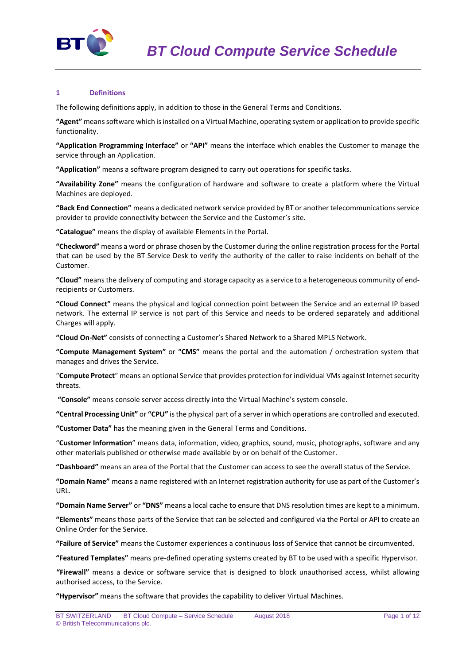

## **1 Definitions**

The following definitions apply, in addition to those in the General Terms and Conditions.

**"Agent"** means software which is installed on a Virtual Machine, operating system or application to provide specific functionality.

**"Application Programming Interface"** or **"API"** means the interface which enables the Customer to manage the service through an Application.

**"Application"** means a software program designed to carry out operations for specific tasks.

**"Availability Zone"** means the configuration of hardware and software to create a platform where the Virtual Machines are deployed.

**"Back End Connection"** means a dedicated network service provided by BT or another telecommunications service provider to provide connectivity between the Service and the Customer's site.

**"Catalogue"** means the display of available Elements in the Portal.

**"Checkword"** means a word or phrase chosen by the Customer during the online registration process for the Portal that can be used by the BT Service Desk to verify the authority of the caller to raise incidents on behalf of the Customer.

**"Cloud"** means the delivery of computing and storage capacity as a service to a heterogeneous community of endrecipients or Customers.

**"Cloud Connect"** means the physical and logical connection point between the Service and an external IP based network. The external IP service is not part of this Service and needs to be ordered separately and additional Charges will apply.

**"Cloud On-Net"** consists of connecting a Customer's Shared Network to a Shared MPLS Network.

**"Compute Management System"** or **"CMS"** means the portal and the automation / orchestration system that manages and drives the Service.

"**Compute Protect**" means an optional Service that provides protection for individual VMs against Internet security threats.

**"Console"** means console server access directly into the Virtual Machine's system console.

**"Central Processing Unit"** or **"CPU"** is the physical part of a server in which operations are controlled and executed.

**"Customer Data"** has the meaning given in the General Terms and Conditions.

"**Customer Information**" means data, information, video, graphics, sound, music, photographs, software and any other materials published or otherwise made available by or on behalf of the Customer.

**"Dashboard"** means an area of the Portal that the Customer can access to see the overall status of the Service.

**"Domain Name"** means a name registered with an Internet registration authority for use as part of the Customer's URL.

**"Domain Name Server"** or **"DNS"** means a local cache to ensure that DNS resolution times are kept to a minimum.

**"Elements"** means those parts of the Service that can be selected and configured via the Portal or API to create an Online Order for the Service.

**"Failure of Service"** means the Customer experiences a continuous loss of Service that cannot be circumvented.

**"Featured Templates"** means pre-defined operating systems created by BT to be used with a specific Hypervisor.

**"Firewall"** means a device or software service that is designed to block unauthorised access, whilst allowing authorised access, to the Service.

**"Hypervisor"** means the software that provides the capability to deliver Virtual Machines.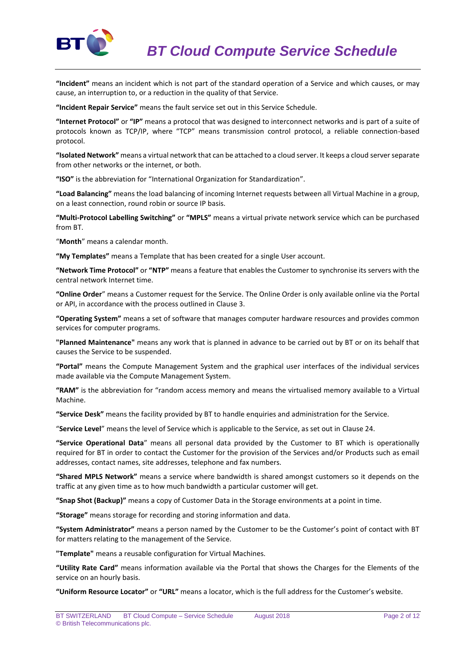

**"Incident"** means an incident which is not part of the standard operation of a Service and which causes, or may cause, an interruption to, or a reduction in the quality of that Service.

**"Incident Repair Service"** means the fault service set out in this Service Schedule.

**"Internet Protocol"** or **"IP"** means a protocol that was designed to interconnect networks and is part of a suite of protocols known as TCP/IP, where "TCP" means transmission control protocol, a reliable connection-based protocol.

**"Isolated Network"** means a virtual network that can be attached to a cloud server. It keeps a cloud server separate from other networks or the internet, or both.

**"ISO"** is the abbreviation for "International Organization for Standardization".

**"Load Balancing"** means the load balancing of incoming Internet requests between all Virtual Machine in a group, on a least connection, round robin or source IP basis.

**"Multi-Protocol Labelling Switching"** or **"MPLS"** means a virtual private network service which can be purchased from BT.

"**Month**" means a calendar month.

**"My Templates"** means a Template that has been created for a single User account.

**"Network Time Protocol"** or **"NTP"** means a feature that enables the Customer to synchronise its servers with the central network Internet time.

**"Online Order**" means a Customer request for the Service. The Online Order is only available online via the Portal or API, in accordance with the process outlined in Clause 3.

**"Operating System"** means a set of software that manages computer hardware resources and provides common services for computer programs.

**"Planned Maintenance"** means any work that is planned in advance to be carried out by BT or on its behalf that causes the Service to be suspended.

**"Portal"** means the Compute Management System and the graphical user interfaces of the individual services made available via the Compute Management System.

**"RAM"** is the abbreviation for "random access memory and means the virtualised memory available to a Virtual Machine.

**"Service Desk"** means the facility provided by BT to handle enquiries and administration for the Service.

"**Service Level**" means the level of Service which is applicable to the Service, as set out in Clause 24.

**"Service Operational Data**" means all personal data provided by the Customer to BT which is operationally required for BT in order to contact the Customer for the provision of the Services and/or Products such as email addresses, contact names, site addresses, telephone and fax numbers.

**"Shared MPLS Network"** means a service where bandwidth is shared amongst customers so it depends on the traffic at any given time as to how much bandwidth a particular customer will get.

**"Snap Shot (Backup)"** means a copy of Customer Data in the Storage environments at a point in time.

**"Storage"** means storage for recording and storing information and data.

**"System Administrator"** means a person named by the Customer to be the Customer's point of contact with BT for matters relating to the management of the Service.

**"Template"** means a reusable configuration for Virtual Machines.

**"Utility Rate Card"** means information available via the Portal that shows the Charges for the Elements of the service on an hourly basis.

**"Uniform Resource Locator"** or **"URL"** means a locator, which is the full address for the Customer's website.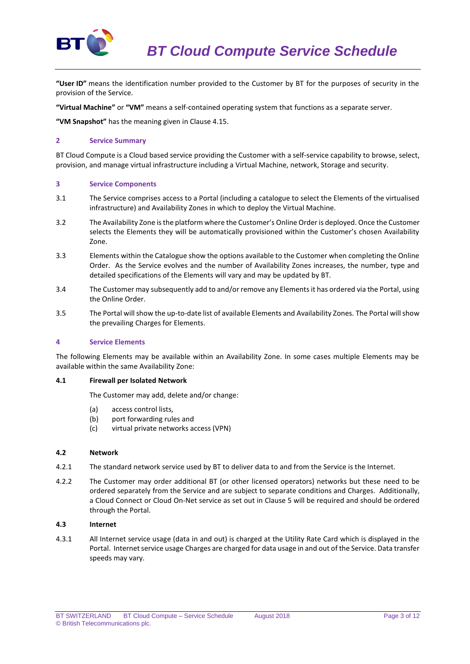

**"User ID"** means the identification number provided to the Customer by BT for the purposes of security in the provision of the Service.

**"Virtual Machine"** or **"VM"** means a self-contained operating system that functions as a separate server.

**"VM Snapshot"** has the meaning given in Clause 4.15.

### **2 Service Summary**

BT Cloud Compute is a Cloud based service providing the Customer with a self-service capability to browse, select, provision, and manage virtual infrastructure including a Virtual Machine, network, Storage and security.

## **3 Service Components**

- 3.1 The Service comprises access to a Portal (including a catalogue to select the Elements of the virtualised infrastructure) and Availability Zones in which to deploy the Virtual Machine.
- 3.2 The Availability Zone is the platform where the Customer's Online Order is deployed. Once the Customer selects the Elements they will be automatically provisioned within the Customer's chosen Availability Zone.
- 3.3 Elements within the Catalogue show the options available to the Customer when completing the Online Order. As the Service evolves and the number of Availability Zones increases, the number, type and detailed specifications of the Elements will vary and may be updated by BT.
- 3.4 The Customer may subsequently add to and/or remove any Elements it has ordered via the Portal, using the Online Order.
- 3.5 The Portal will show the up-to-date list of available Elements and Availability Zones. The Portal will show the prevailing Charges for Elements.

## **4 Service Elements**

The following Elements may be available within an Availability Zone. In some cases multiple Elements may be available within the same Availability Zone:

#### **4.1 Firewall per Isolated Network**

The Customer may add, delete and/or change:

- (a) access control lists,
- (b) port forwarding rules and
- (c) virtual private networks access (VPN)

### **4.2 Network**

- 4.2.1 The standard network service used by BT to deliver data to and from the Service is the Internet.
- 4.2.2 The Customer may order additional BT (or other licensed operators) networks but these need to be ordered separately from the Service and are subject to separate conditions and Charges. Additionally, a Cloud Connect or Cloud On-Net service as set out in Clause 5 will be required and should be ordered through the Portal.

## **4.3 Internet**

4.3.1 All Internet service usage (data in and out) is charged at the Utility Rate Card which is displayed in the Portal. Internet service usage Charges are charged for data usage in and out of the Service. Data transfer speeds may vary.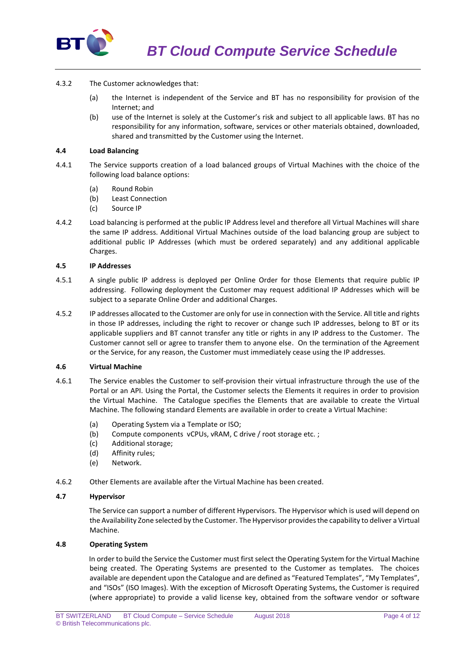

- 4.3.2 The Customer acknowledges that:
	- (a) the Internet is independent of the Service and BT has no responsibility for provision of the Internet; and
	- (b) use of the Internet is solely at the Customer's risk and subject to all applicable laws. BT has no responsibility for any information, software, services or other materials obtained, downloaded, shared and transmitted by the Customer using the Internet.

## **4.4 Load Balancing**

- 4.4.1 The Service supports creation of a load balanced groups of Virtual Machines with the choice of the following load balance options:
	- (a) Round Robin
	- (b) Least Connection
	- (c) Source IP
- 4.4.2 Load balancing is performed at the public IP Address level and therefore all Virtual Machines will share the same IP address. Additional Virtual Machines outside of the load balancing group are subject to additional public IP Addresses (which must be ordered separately) and any additional applicable Charges.

## **4.5 IP Addresses**

- 4.5.1 A single public IP address is deployed per Online Order for those Elements that require public IP addressing. Following deployment the Customer may request additional IP Addresses which will be subject to a separate Online Order and additional Charges.
- 4.5.2 IP addresses allocated to the Customer are only for use in connection with the Service. All title and rights in those IP addresses, including the right to recover or change such IP addresses, belong to BT or its applicable suppliers and BT cannot transfer any title or rights in any IP address to the Customer. The Customer cannot sell or agree to transfer them to anyone else. On the termination of the Agreement or the Service, for any reason, the Customer must immediately cease using the IP addresses.

## **4.6 Virtual Machine**

- 4.6.1 The Service enables the Customer to self-provision their virtual infrastructure through the use of the Portal or an API. Using the Portal, the Customer selects the Elements it requires in order to provision the Virtual Machine. The Catalogue specifies the Elements that are available to create the Virtual Machine. The following standard Elements are available in order to create a Virtual Machine:
	- (a) Operating System via a Template or ISO;
	- (b) Compute components vCPUs, vRAM, C drive / root storage etc. ;
	- (c) Additional storage;
	- (d) Affinity rules;
	- (e) Network.
- 4.6.2 Other Elements are available after the Virtual Machine has been created.

## **4.7 Hypervisor**

The Service can support a number of different Hypervisors. The Hypervisor which is used will depend on the Availability Zone selected by the Customer. The Hypervisor provides the capability to deliver a Virtual Machine.

## **4.8 Operating System**

In order to build the Service the Customer must first select the Operating System for the Virtual Machine being created. The Operating Systems are presented to the Customer as templates. The choices available are dependent upon the Catalogue and are defined as "Featured Templates", "My Templates", and "ISOs" (ISO Images). With the exception of Microsoft Operating Systems, the Customer is required (where appropriate) to provide a valid license key, obtained from the software vendor or software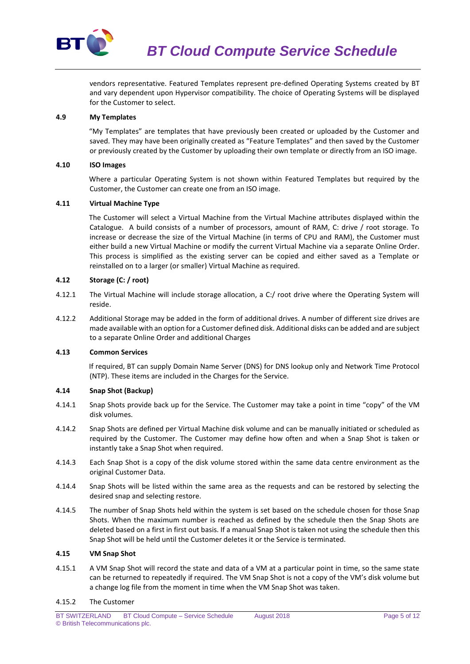

vendors representative. Featured Templates represent pre-defined Operating Systems created by BT and vary dependent upon Hypervisor compatibility. The choice of Operating Systems will be displayed for the Customer to select.

## **4.9 My Templates**

"My Templates" are templates that have previously been created or uploaded by the Customer and saved. They may have been originally created as "Feature Templates" and then saved by the Customer or previously created by the Customer by uploading their own template or directly from an ISO image.

## **4.10 ISO Images**

Where a particular Operating System is not shown within Featured Templates but required by the Customer, the Customer can create one from an ISO image.

## **4.11 Virtual Machine Type**

The Customer will select a Virtual Machine from the Virtual Machine attributes displayed within the Catalogue. A build consists of a number of processors, amount of RAM, C: drive / root storage. To increase or decrease the size of the Virtual Machine (in terms of CPU and RAM), the Customer must either build a new Virtual Machine or modify the current Virtual Machine via a separate Online Order. This process is simplified as the existing server can be copied and either saved as a Template or reinstalled on to a larger (or smaller) Virtual Machine as required.

# **4.12 Storage (C: / root)**

- 4.12.1 The Virtual Machine will include storage allocation, a C:/ root drive where the Operating System will reside.
- 4.12.2 Additional Storage may be added in the form of additional drives. A number of different size drives are made available with an option for a Customer defined disk. Additional disks can be added and are subject to a separate Online Order and additional Charges

## **4.13 Common Services**

If required, BT can supply Domain Name Server (DNS) for DNS lookup only and Network Time Protocol (NTP). These items are included in the Charges for the Service.

### **4.14 Snap Shot (Backup)**

- 4.14.1 Snap Shots provide back up for the Service. The Customer may take a point in time "copy" of the VM disk volumes.
- 4.14.2 Snap Shots are defined per Virtual Machine disk volume and can be manually initiated or scheduled as required by the Customer. The Customer may define how often and when a Snap Shot is taken or instantly take a Snap Shot when required.
- 4.14.3 Each Snap Shot is a copy of the disk volume stored within the same data centre environment as the original Customer Data.
- 4.14.4 Snap Shots will be listed within the same area as the requests and can be restored by selecting the desired snap and selecting restore.
- 4.14.5 The number of Snap Shots held within the system is set based on the schedule chosen for those Snap Shots. When the maximum number is reached as defined by the schedule then the Snap Shots are deleted based on a first in first out basis. If a manual Snap Shot is taken not using the schedule then this Snap Shot will be held until the Customer deletes it or the Service is terminated.

#### **4.15 VM Snap Shot**

4.15.1 A VM Snap Shot will record the state and data of a VM at a particular point in time, so the same state can be returned to repeatedly if required. The VM Snap Shot is not a copy of the VM's disk volume but a change log file from the moment in time when the VM Snap Shot was taken.

#### 4.15.2 The Customer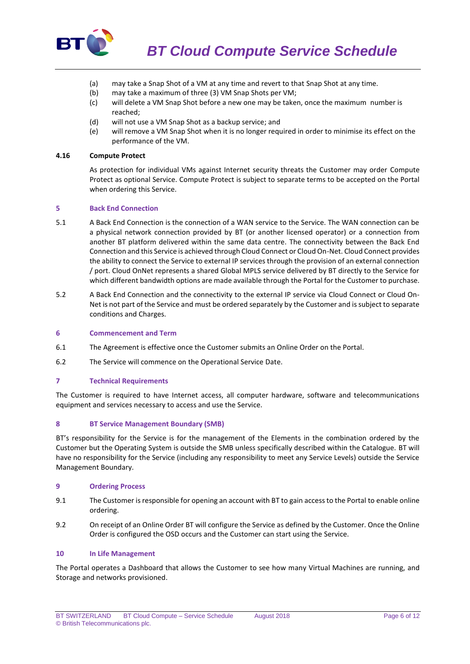

- (a) may take a Snap Shot of a VM at any time and revert to that Snap Shot at any time.
- (b) may take a maximum of three (3) VM Snap Shots per VM;
- (c) will delete a VM Snap Shot before a new one may be taken, once the maximum number is reached;
- (d) will not use a VM Snap Shot as a backup service; and
- (e) will remove a VM Snap Shot when it is no longer required in order to minimise its effect on the performance of the VM.

#### **4.16 Compute Protect**

As protection for individual VMs against Internet security threats the Customer may order Compute Protect as optional Service. Compute Protect is subject to separate terms to be accepted on the Portal when ordering this Service.

#### **5 Back End Connection**

- 5.1 A Back End Connection is the connection of a WAN service to the Service. The WAN connection can be a physical network connection provided by BT (or another licensed operator) or a connection from another BT platform delivered within the same data centre. The connectivity between the Back End Connection and this Service is achieved through Cloud Connect or Cloud On-Net. Cloud Connect provides the ability to connect the Service to external IP services through the provision of an external connection / port. Cloud OnNet represents a shared Global MPLS service delivered by BT directly to the Service for which different bandwidth options are made available through the Portal for the Customer to purchase.
- 5.2 A Back End Connection and the connectivity to the external IP service via Cloud Connect or Cloud On-Net is not part of the Service and must be ordered separately by the Customer and is subject to separate conditions and Charges.

## **6 Commencement and Term**

- 6.1 The Agreement is effective once the Customer submits an Online Order on the Portal.
- 6.2 The Service will commence on the Operational Service Date.

#### **7 Technical Requirements**

The Customer is required to have Internet access, all computer hardware, software and telecommunications equipment and services necessary to access and use the Service.

#### **8 BT Service Management Boundary (SMB)**

BT's responsibility for the Service is for the management of the Elements in the combination ordered by the Customer but the Operating System is outside the SMB unless specifically described within the Catalogue. BT will have no responsibility for the Service (including any responsibility to meet any Service Levels) outside the Service Management Boundary.

### **9 Ordering Process**

- 9.1 The Customer is responsible for opening an account with BT to gain access to the Portal to enable online ordering.
- 9.2 On receipt of an Online Order BT will configure the Service as defined by the Customer. Once the Online Order is configured the OSD occurs and the Customer can start using the Service.

#### **10 In Life Management**

The Portal operates a Dashboard that allows the Customer to see how many Virtual Machines are running, and Storage and networks provisioned.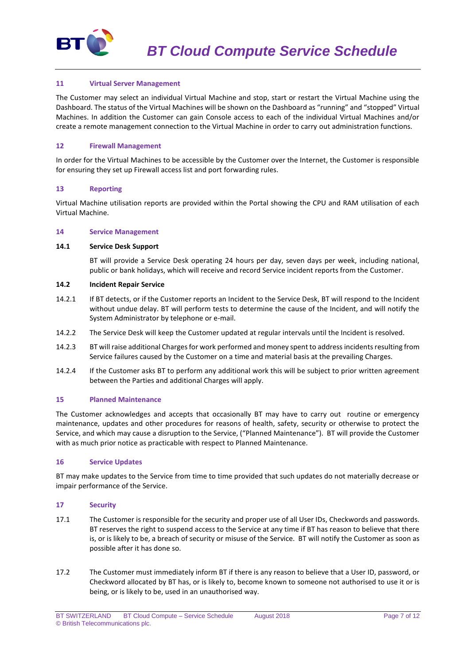

## **11 Virtual Server Management**

The Customer may select an individual Virtual Machine and stop, start or restart the Virtual Machine using the Dashboard. The status of the Virtual Machines will be shown on the Dashboard as "running" and "stopped" Virtual Machines. In addition the Customer can gain Console access to each of the individual Virtual Machines and/or create a remote management connection to the Virtual Machine in order to carry out administration functions.

## **12 Firewall Management**

In order for the Virtual Machines to be accessible by the Customer over the Internet, the Customer is responsible for ensuring they set up Firewall access list and port forwarding rules.

## **13 Reporting**

Virtual Machine utilisation reports are provided within the Portal showing the CPU and RAM utilisation of each Virtual Machine.

#### **14 Service Management**

## **14.1 Service Desk Support**

BT will provide a Service Desk operating 24 hours per day, seven days per week, including national, public or bank holidays, which will receive and record Service incident reports from the Customer.

#### **14.2 Incident Repair Service**

- 14.2.1 If BT detects, or if the Customer reports an Incident to the Service Desk, BT will respond to the Incident without undue delay. BT will perform tests to determine the cause of the Incident, and will notify the System Administrator by telephone or e-mail.
- 14.2.2 The Service Desk will keep the Customer updated at regular intervals until the Incident is resolved.
- 14.2.3 BT will raise additional Charges for work performed and money spent to addressincidents resulting from Service failures caused by the Customer on a time and material basis at the prevailing Charges.
- 14.2.4 If the Customer asks BT to perform any additional work this will be subject to prior written agreement between the Parties and additional Charges will apply.

#### **15 Planned Maintenance**

The Customer acknowledges and accepts that occasionally BT may have to carry out routine or emergency maintenance, updates and other procedures for reasons of health, safety, security or otherwise to protect the Service, and which may cause a disruption to the Service, ("Planned Maintenance"). BT will provide the Customer with as much prior notice as practicable with respect to Planned Maintenance.

#### **16 Service Updates**

BT may make updates to the Service from time to time provided that such updates do not materially decrease or impair performance of the Service.

## **17 Security**

- 17.1 The Customer is responsible for the security and proper use of all User IDs, Checkwords and passwords. BT reserves the right to suspend access to the Service at any time if BT has reason to believe that there is, or is likely to be, a breach of security or misuse of the Service. BT will notify the Customer as soon as possible after it has done so.
- 17.2 The Customer must immediately inform BT if there is any reason to believe that a User ID, password, or Checkword allocated by BT has, or is likely to, become known to someone not authorised to use it or is being, or is likely to be, used in an unauthorised way.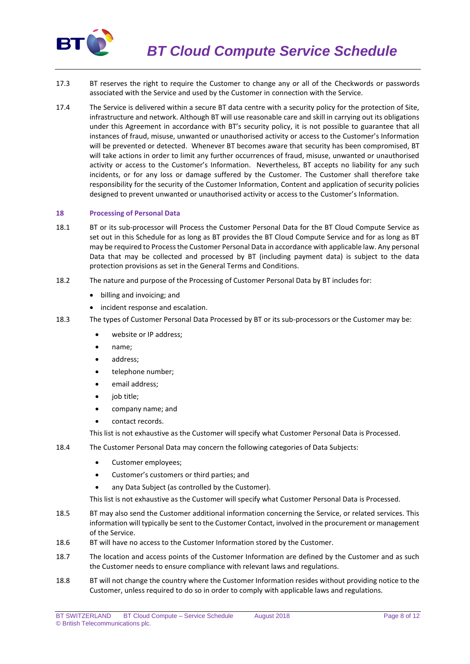

- 17.3 BT reserves the right to require the Customer to change any or all of the Checkwords or passwords associated with the Service and used by the Customer in connection with the Service.
- 17.4 The Service is delivered within a secure BT data centre with a security policy for the protection of Site, infrastructure and network. Although BT will use reasonable care and skill in carrying out its obligations under this Agreement in accordance with BT's security policy, it is not possible to guarantee that all instances of fraud, misuse, unwanted or unauthorised activity or access to the Customer's Information will be prevented or detected. Whenever BT becomes aware that security has been compromised, BT will take actions in order to limit any further occurrences of fraud, misuse, unwanted or unauthorised activity or access to the Customer's Information. Nevertheless, BT accepts no liability for any such incidents, or for any loss or damage suffered by the Customer. The Customer shall therefore take responsibility for the security of the Customer Information, Content and application of security policies designed to prevent unwanted or unauthorised activity or access to the Customer's Information.

## **18 Processing of Personal Data**

- 18.1 BT or its sub-processor will Process the Customer Personal Data for the BT Cloud Compute Service as set out in this Schedule for as long as BT provides the BT Cloud Compute Service and for as long as BT may be required to Process the Customer Personal Data in accordance with applicable law. Any personal Data that may be collected and processed by BT (including payment data) is subject to the data protection provisions as set in the General Terms and Conditions.
- 18.2 The nature and purpose of the Processing of Customer Personal Data by BT includes for:
	- billing and invoicing; and
	- incident response and escalation.
- 18.3 The types of Customer Personal Data Processed by BT or its sub-processors or the Customer may be:
	- website or IP address:
	- name;
	- address:
	- telephone number;
	- email address;
	- job title;
	- company name; and
	- contact records.

This list is not exhaustive as the Customer will specify what Customer Personal Data is Processed.

- 18.4 The Customer Personal Data may concern the following categories of Data Subjects:
	- Customer employees:
	- Customer's customers or third parties; and
	- any Data Subject (as controlled by the Customer).

This list is not exhaustive as the Customer will specify what Customer Personal Data is Processed.

- 18.5 BT may also send the Customer additional information concerning the Service, or related services. This information will typically be sent to the Customer Contact, involved in the procurement or management of the Service.
- 18.6 BT will have no access to the Customer Information stored by the Customer.
- 18.7 The location and access points of the Customer Information are defined by the Customer and as such the Customer needs to ensure compliance with relevant laws and regulations.
- 18.8 BT will not change the country where the Customer Information resides without providing notice to the Customer, unless required to do so in order to comply with applicable laws and regulations.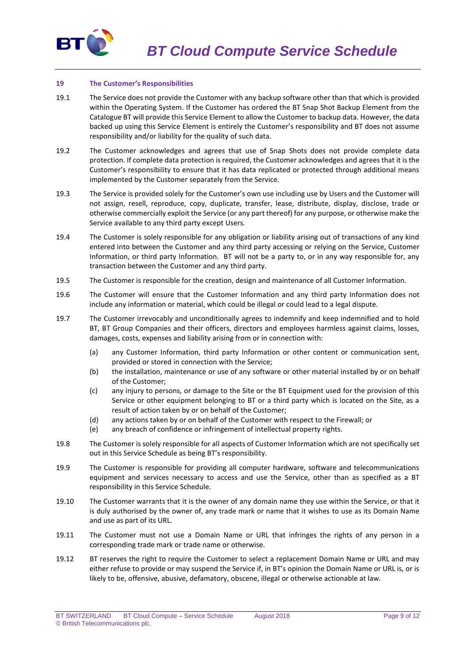

#### **19 The Customer's Responsibilities**

- 19.1 The Service does not provide the Customer with any backup software other than that which is provided within the Operating System. If the Customer has ordered the BT Snap Shot Backup Element from the Catalogue BT will provide this Service Element to allow the Customer to backup data. However, the data backed up using this Service Element is entirely the Customer's responsibility and BT does not assume responsibility and/or liability for the quality of such data.
- 19.2 The Customer acknowledges and agrees that use of Snap Shots does not provide complete data protection. If complete data protection is required, the Customer acknowledges and agrees that it is the Customer's responsibility to ensure that it has data replicated or protected through additional means implemented by the Customer separately from the Service.
- 19.3 The Service is provided solely for the Customer's own use including use by Users and the Customer will not assign, resell, reproduce, copy, duplicate, transfer, lease, distribute, display, disclose, trade or otherwise commercially exploit the Service (or any part thereof) for any purpose, or otherwise make the Service available to any third party except Users.
- 19.4 The Customer is solely responsible for any obligation or liability arising out of transactions of any kind entered into between the Customer and any third party accessing or relying on the Service, Customer Information, or third party Information. BT will not be a party to, or in any way responsible for, any transaction between the Customer and any third party.
- 19.5 The Customer is responsible for the creation, design and maintenance of all Customer Information.
- 19.6 The Customer will ensure that the Customer Information and any third party Information does not include any information or material, which could be illegal or could lead to a legal dispute.
- 19.7 The Customer irrevocably and unconditionally agrees to indemnify and keep indemnified and to hold BT, BT Group Companies and their officers, directors and employees harmless against claims, losses, damages, costs, expenses and liability arising from or in connection with:
	- (a) any Customer Information, third party Information or other content or communication sent, provided or stored in connection with the Service;
	- (b) the installation, maintenance or use of any software or other material installed by or on behalf of the Customer;
	- (c) any injury to persons, or damage to the Site or the BT Equipment used for the provision of this Service or other equipment belonging to BT or a third party which is located on the Site, as a result of action taken by or on behalf of the Customer;
	- (d) any actions taken by or on behalf of the Customer with respect to the Firewall; or
	- (e) any breach of confidence or infringement of intellectual property rights.
- 19.8 The Customer is solely responsible for all aspects of Customer Information which are not specifically set out in this Service Schedule as being BT's responsibility.
- 19.9 The Customer is responsible for providing all computer hardware, software and telecommunications equipment and services necessary to access and use the Service, other than as specified as a BT responsibility in this Service Schedule.
- 19.10 The Customer warrants that it is the owner of any domain name they use within the Service, or that it is duly authorised by the owner of, any trade mark or name that it wishes to use as its Domain Name and use as part of its URL.
- 19.11 The Customer must not use a Domain Name or URL that infringes the rights of any person in a corresponding trade mark or trade name or otherwise.
- 19.12 BT reserves the right to require the Customer to select a replacement Domain Name or URL and may either refuse to provide or may suspend the Service if, in BT's opinion the Domain Name or URL is, or is likely to be, offensive, abusive, defamatory, obscene, illegal or otherwise actionable at law.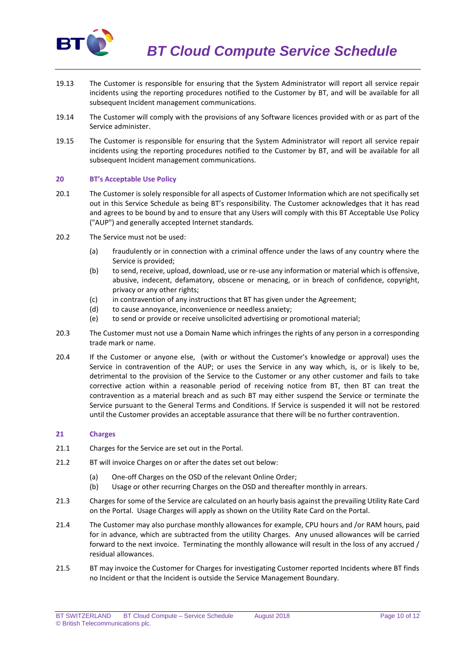

- 19.13 The Customer is responsible for ensuring that the System Administrator will report all service repair incidents using the reporting procedures notified to the Customer by BT, and will be available for all subsequent Incident management communications.
- 19.14 The Customer will comply with the provisions of any Software licences provided with or as part of the Service administer.
- 19.15 The Customer is responsible for ensuring that the System Administrator will report all service repair incidents using the reporting procedures notified to the Customer by BT, and will be available for all subsequent Incident management communications.

#### **20 BT's Acceptable Use Policy**

- 20.1 The Customer is solely responsible for all aspects of Customer Information which are not specifically set out in this Service Schedule as being BT's responsibility. The Customer acknowledges that it has read and agrees to be bound by and to ensure that any Users will comply with this BT Acceptable Use Policy ("AUP") and generally accepted Internet standards.
- 20.2 The Service must not be used:
	- (a) fraudulently or in connection with a criminal offence under the laws of any country where the Service is provided;
	- (b) to send, receive, upload, download, use or re-use any information or material which is offensive, abusive, indecent, defamatory, obscene or menacing, or in breach of confidence, copyright, privacy or any other rights;
	- (c) in contravention of any instructions that BT has given under the Agreement;
	- (d) to cause annoyance, inconvenience or needless anxiety;
	- (e) to send or provide or receive unsolicited advertising or promotional material;
- 20.3 The Customer must not use a Domain Name which infringes the rights of any person in a corresponding trade mark or name.
- 20.4 If the Customer or anyone else, (with or without the Customer's knowledge or approval) uses the Service in contravention of the AUP; or uses the Service in any way which, is, or is likely to be, detrimental to the provision of the Service to the Customer or any other customer and fails to take corrective action within a reasonable period of receiving notice from BT, then BT can treat the contravention as a material breach and as such BT may either suspend the Service or terminate the Service pursuant to the General Terms and Conditions. If Service is suspended it will not be restored until the Customer provides an acceptable assurance that there will be no further contravention.

#### **21 Charges**

- 21.1 Charges for the Service are set out in the Portal.
- 21.2 BT will invoice Charges on or after the dates set out below:
	- (a) One-off Charges on the OSD of the relevant Online Order;
	- (b) Usage or other recurring Charges on the OSD and thereafter monthly in arrears.
- 21.3 Charges for some of the Service are calculated on an hourly basis against the prevailing Utility Rate Card on the Portal. Usage Charges will apply as shown on the Utility Rate Card on the Portal.
- 21.4 The Customer may also purchase monthly allowances for example, CPU hours and /or RAM hours, paid for in advance, which are subtracted from the utility Charges. Any unused allowances will be carried forward to the next invoice. Terminating the monthly allowance will result in the loss of any accrued / residual allowances.
- 21.5 BT may invoice the Customer for Charges for investigating Customer reported Incidents where BT finds no Incident or that the Incident is outside the Service Management Boundary.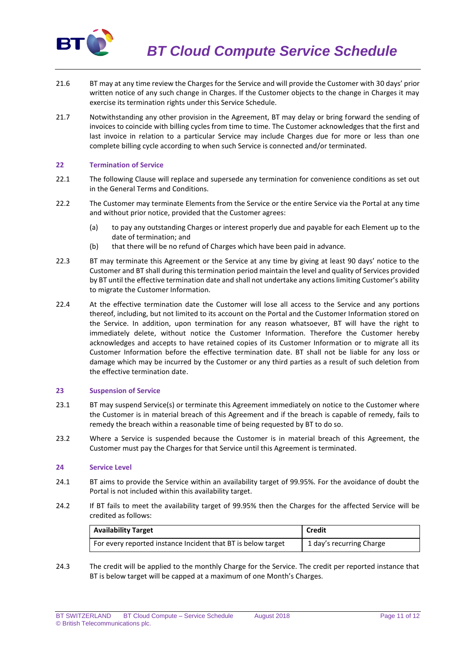

- 21.6 BT may at any time review the Charges for the Service and will provide the Customer with 30 days' prior written notice of any such change in Charges. If the Customer objects to the change in Charges it may exercise its termination rights under this Service Schedule.
- 21.7 Notwithstanding any other provision in the Agreement, BT may delay or bring forward the sending of invoices to coincide with billing cycles from time to time. The Customer acknowledges that the first and last invoice in relation to a particular Service may include Charges due for more or less than one complete billing cycle according to when such Service is connected and/or terminated.

## **22 Termination of Service**

- 22.1 The following Clause will replace and supersede any termination for convenience conditions as set out in the General Terms and Conditions.
- 22.2 The Customer may terminate Elements from the Service or the entire Service via the Portal at any time and without prior notice, provided that the Customer agrees:
	- (a) to pay any outstanding Charges or interest properly due and payable for each Element up to the date of termination; and
	- (b) that there will be no refund of Charges which have been paid in advance.
- 22.3 BT may terminate this Agreement or the Service at any time by giving at least 90 days' notice to the Customer and BT shall during this termination period maintain the level and quality of Services provided by BT until the effective termination date and shall not undertake any actions limiting Customer's ability to migrate the Customer Information.
- 22.4 At the effective termination date the Customer will lose all access to the Service and any portions thereof, including, but not limited to its account on the Portal and the Customer Information stored on the Service. In addition, upon termination for any reason whatsoever, BT will have the right to immediately delete, without notice the Customer Information. Therefore the Customer hereby acknowledges and accepts to have retained copies of its Customer Information or to migrate all its Customer Information before the effective termination date. BT shall not be liable for any loss or damage which may be incurred by the Customer or any third parties as a result of such deletion from the effective termination date.

#### **23 Suspension of Service**

- 23.1 BT may suspend Service(s) or terminate this Agreement immediately on notice to the Customer where the Customer is in material breach of this Agreement and if the breach is capable of remedy, fails to remedy the breach within a reasonable time of being requested by BT to do so.
- 23.2 Where a Service is suspended because the Customer is in material breach of this Agreement, the Customer must pay the Charges for that Service until this Agreement is terminated.

#### **24 Service Level**

- 24.1 BT aims to provide the Service within an availability target of 99.95%. For the avoidance of doubt the Portal is not included within this availability target.
- 24.2 If BT fails to meet the availability target of 99.95% then the Charges for the affected Service will be credited as follows:

| <b>Availability Target</b>                                   | Credit                   |
|--------------------------------------------------------------|--------------------------|
| For every reported instance Incident that BT is below target | 1 day's recurring Charge |

24.3 The credit will be applied to the monthly Charge for the Service. The credit per reported instance that BT is below target will be capped at a maximum of one Month's Charges.